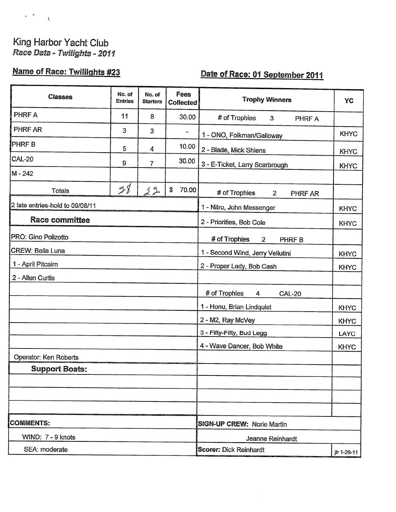# King Harbor Yacht Club<br>Race Data - Twilights - 2011

 $\epsilon^{-\frac{1}{2}}$  .  $\frac{1}{3}$ 

# Name of Race: Twililghts #23

### Date of Race: 01 September 2011

| <b>Classes</b>                  | No. of<br><b>Entries</b> | No. of<br><b>Starters</b> | <b>Fees</b><br><b>Collected</b> | <b>Trophy Winners</b>                          | YC          |
|---------------------------------|--------------------------|---------------------------|---------------------------------|------------------------------------------------|-------------|
| PHRF A                          | 11                       | 8                         | 30.00                           | # of Trophies<br>$\mathbf{3}$<br><b>PHRF A</b> |             |
| PHRF AR                         | 3                        | 3                         |                                 | 1 - ONO, Folkman/Galloway                      | <b>KHYC</b> |
| <b>PHRFB</b>                    | 5                        | 4                         | 10.00                           | 2 - Blade, Mick Shlens                         | <b>KHYC</b> |
| <b>CAL-20</b>                   | 9                        | $\overline{7}$            | 30.00                           | 3 - E-Ticket, Larry Scarbrough                 | <b>KHYC</b> |
| $M - 242$                       |                          |                           |                                 |                                                |             |
| <b>Totals</b>                   | 28                       | 22                        | \$<br>70.00                     | # of Trophies<br>$\overline{2}$<br>PHRF AR     |             |
| 2 late entries-hold to 09/08/11 |                          |                           |                                 | 1 - Nitro, John Messenger                      | <b>KHYC</b> |
| Race committee                  |                          |                           |                                 | 2 - Priorities, Bob Cole                       | <b>KHYC</b> |
| PRO: Gino Polizotto             |                          |                           |                                 | # of Trophies<br>$\overline{2}$<br>PHRF B      |             |
| <b>CREW: Bella Luna</b>         |                          |                           |                                 | 1 - Second Wind, Jerry Vellutini               | <b>KHYC</b> |
| 1 - April Pitcairn              |                          |                           |                                 | 2 - Proper Lady, Bob Cash                      | <b>KHYC</b> |
| 2 - Allen Curtis                |                          |                           |                                 |                                                |             |
|                                 |                          |                           |                                 | # of Trophies<br><b>CAL-20</b><br>4            |             |
|                                 |                          |                           |                                 | 1 - Honu, Brian Lindquist                      | <b>KHYC</b> |
|                                 |                          |                           |                                 | 2 - M2, Ray McVey                              | <b>KHYC</b> |
|                                 |                          |                           |                                 | 3 - Fifty-Fifty, Bud Legg                      | LAYC        |
|                                 |                          |                           |                                 | 4 - Wave Dancer, Bob White                     | <b>KHYC</b> |
| Operator: Ken Roberts           |                          |                           |                                 |                                                |             |
| <b>Support Boats:</b>           |                          |                           |                                 |                                                |             |
|                                 |                          |                           |                                 |                                                |             |
|                                 |                          |                           |                                 |                                                |             |
|                                 |                          |                           |                                 |                                                |             |
| <b>COMMENTS:</b>                |                          |                           |                                 | <b>SIGN-UP CREW: Norie Martin</b>              |             |
| WIND: 7 - 9 knots               |                          |                           |                                 | Jeanne Reinhardt                               |             |
| SEA: moderate                   |                          |                           |                                 | <b>Scorer: Dick Reinhardt</b>                  | ilr 1-29-11 |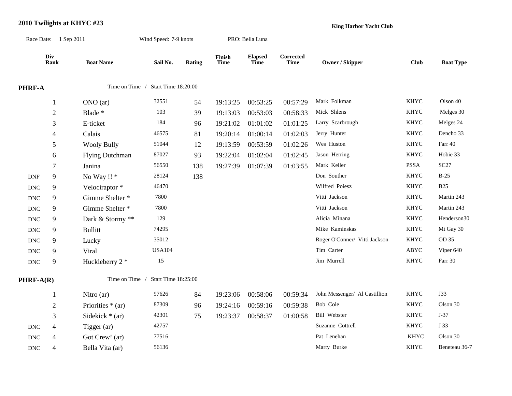## **2010 Twilights at KHYC #23** Race Date: 1 Sep 2011 Wind Speed: 7-9 knots PRO: Bella Luna

**Div Finish Corrected**

**Rank Boat Name Sail No. Rating Time Time Time Owner / Skipper Club Boat Type** Elapsed Corrected<br>
<u>Time</u> Time Owner / Skipper **PHRF-A** Time on Time / Start Time 18:20:00 1 ONO (ar) 32551 54 19:13:25 00:53:25 00:57:29 Mark Folkman KHYC Olson 40 2 Blade \* 103 39 19:13:03 00:53:03 00:58:33 Mick Shlens KHYC Melges 30 3 E-ticket 184 96 19:21:02 01:01:02 01:01:25 Larry Scarbrough KHYC Melges 24 4 Calais 46575 81 19:20:14 01:00:14 01:02:03 Jerry Hunter KHYC Dencho 33 5 Wooly Bully 51044 12 19:13:59 00:53:59 01:02:26 Wes Huston KHYC Farr 40 6 Flying Dutchman 87027 93 19:22:04 01:02:04 01:02:45 Jason Herring KHYC Hobie 33 7 Janina 56550 138 19:27:39 01:07:39 01:03:55 Mark Keller PSSA SC27 DNF 9 No Way !! \* 28124 138 Don Souther KHYC B-25 DNC 9 Velociraptor \* 46470 46470 Wilfred Poiesz KHYC B25 DNC 9 Gimme Shelter \* 7800 7800 Vitti Jackson Vitti Jackson KHYC Martin 243 DNC 9 Gimme Shelter \* 7800 7800 Vitti Jackson Vitti Jackson KHYC Martin 243 DNC 9 Dark & Stormy \*\* 129 129 Alicia Minana KHYC Henderson30 DNC 9 Bullitt 74295 74295 Mike Kaminskas KHYC Mt Gay 30 DNC 9 Lucky 35012 35012 Roger O'Conner/ Vitti Jackson KHYC OD 35 DNC 9 Viral USA104 USA104 Tim Carter ABYC Viper 640

DNC 9 Huckleberry 2 \* 15 15 Jim Murrell KHYC Farr 30

**King Harbor Yacht Club**

**PHRF-A(R)** Time on Time / Start Time 18:25:00

|            |                             | Nitro $(ar)$       | 97626 | 84 | 19:23:06 | 00:58:06 | 00:59:34 | John Messenger/ Al Castillion | <b>KHYC</b> | J33           |
|------------|-----------------------------|--------------------|-------|----|----------|----------|----------|-------------------------------|-------------|---------------|
|            | $\bigcap$<br>$\overline{ }$ | Priorities $*(ar)$ | 87309 | 96 | 19:24:16 | 00:59:16 | 00:59:38 | Bob Cole                      | <b>KHYC</b> | Olson 30      |
|            |                             | Sidekick $*(ar)$   | 42301 | 75 | 19:23:37 | 00:58:37 | 01:00:58 | Bill Webster                  | <b>KHYC</b> | $J-37$        |
| DNC        | 4                           | Tigger (ar)        | 42757 |    |          |          |          | Suzanne Cottrell              | <b>KHYC</b> | J 33          |
| <b>DNC</b> | 4                           | Got Crew! (ar)     | 77516 |    |          |          |          | Pat Lenehan                   | KHYC        | Olson 30      |
| DNC        | $\overline{4}$              | Bella Vita (ar)    | 56136 |    |          |          |          | Marty Burke                   | <b>KHYC</b> | Beneteau 36-7 |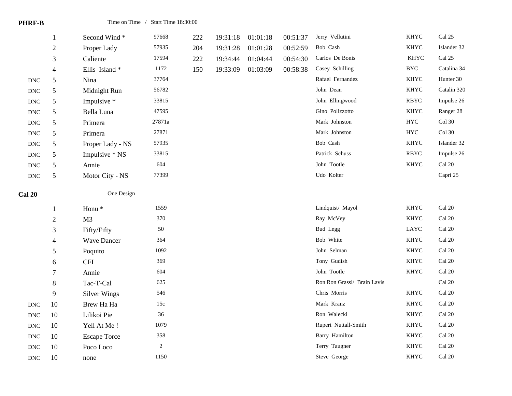| <b>PHRF-B</b>        |                          | Time on Time / Start Time 18:30:00 |                       |     |          |          |          |                                        |                            |                                   |
|----------------------|--------------------------|------------------------------------|-----------------------|-----|----------|----------|----------|----------------------------------------|----------------------------|-----------------------------------|
|                      | $\mathbf{1}$             | Second Wind*                       | 97668                 | 222 | 19:31:18 | 01:01:18 | 00:51:37 | Jerry Vellutini                        | <b>KHYC</b>                | Cal 25                            |
|                      | $\sqrt{2}$               | Proper Lady                        | 57935                 | 204 | 19:31:28 | 01:01:28 | 00:52:59 | Bob Cash                               | <b>KHYC</b>                | Islander 32                       |
|                      | 3                        | Caliente                           | 17594                 | 222 | 19:34:44 | 01:04:44 | 00:54:30 | Carlos De Bonis                        | <b>KHYC</b>                | Cal 25                            |
|                      | $\overline{4}$           | Ellis Island*                      | 1172                  | 150 | 19:33:09 | 01:03:09 | 00:58:38 | Casey Schilling                        | <b>BYC</b>                 | Catalina 34                       |
| <b>DNC</b>           | 5                        | Nina                               | 37764                 |     |          |          |          | Rafael Fernandez                       | <b>KHYC</b>                | Hunter 30                         |
| <b>DNC</b>           | $\mathfrak s$            | Midnight Run                       | 56782                 |     |          |          |          | John Dean                              | <b>KHYC</b>                | Catalin 320                       |
| <b>DNC</b>           | $\sqrt{5}$               | Impulsive *                        | 33815                 |     |          |          |          | John Ellingwood                        | <b>RBYC</b>                | Impulse 26                        |
| $\operatorname{DNC}$ | 5                        | Bella Luna                         | 47595                 |     |          |          |          | Gino Polizzotto                        | <b>KHYC</b>                | Ranger 28                         |
| $\operatorname{DNC}$ | 5                        | Primera                            | 27871a                |     |          |          |          | Mark Johnston                          | ${\rm HYC}$                | Col 30                            |
| $\operatorname{DNC}$ | $\mathfrak s$            | Primera                            | 27871                 |     |          |          |          | Mark Johnston                          | ${\rm HYC}$                | Col 30                            |
| $\operatorname{DNC}$ | $\mathfrak s$            | Proper Lady - NS                   | 57935                 |     |          |          |          | Bob Cash                               | <b>KHYC</b>                | Islander 32                       |
| $\operatorname{DNC}$ | $\mathfrak s$            | Impulsive * NS                     | 33815                 |     |          |          |          | Patrick Schuss                         | <b>RBYC</b>                | Impulse 26                        |
| <b>DNC</b>           | $\sqrt{5}$               | Annie                              | 604                   |     |          |          |          | John Tootle                            | <b>KHYC</b>                | Cal 20                            |
| <b>DNC</b>           | 5                        | Motor City - NS                    | 77399                 |     |          |          |          | Udo Kolter                             |                            | Capri 25                          |
|                      |                          |                                    |                       |     |          |          |          |                                        |                            |                                   |
| <b>Cal 20</b>        |                          | One Design                         |                       |     |          |          |          |                                        |                            |                                   |
|                      | 1                        | Honu <sup>*</sup>                  | 1559                  |     |          |          |          | Lindquist/ Mayol                       | <b>KHYC</b>                | Cal 20                            |
|                      | $\sqrt{2}$               | M <sub>3</sub>                     | 370                   |     |          |          |          | Ray McVey                              | <b>KHYC</b>                | Cal 20                            |
|                      | $\mathfrak{Z}$           | Fifty/Fifty                        | 50                    |     |          |          |          | <b>Bud Legg</b>                        | LAYC                       | Cal 20                            |
|                      | $\overline{\mathcal{L}}$ | <b>Wave Dancer</b>                 | 364                   |     |          |          |          | Bob White                              | <b>KHYC</b>                | Cal 20                            |
|                      | $\mathfrak s$            | Poquito                            | 1092                  |     |          |          |          | John Selman                            | <b>KHYC</b>                | Cal 20                            |
|                      | $\sqrt{6}$               | <b>CFI</b>                         | 369                   |     |          |          |          | Tony Gudish                            | <b>KHYC</b>                | $\operatorname{Cal}$ 20           |
|                      | $\boldsymbol{7}$         | Annie                              | 604                   |     |          |          |          | John Tootle                            | <b>KHYC</b>                | Cal 20                            |
|                      | $\,8\,$                  | Tac-T-Cal                          | 625                   |     |          |          |          | Ron Ron Grassl/ Brain Lavis            |                            | $\operatorname{Cal}$ 20           |
|                      | 9                        | <b>Silver Wings</b>                | 546                   |     |          |          |          | Chris Morris                           | <b>KHYC</b>                | Cal 20                            |
| $\operatorname{DNC}$ | 10                       | Brew Ha Ha                         | 15c                   |     |          |          |          | Mark Kranz                             | <b>KHYC</b>                | Cal 20                            |
| $\operatorname{DNC}$ | 10                       | Lilikoi Pie                        | 36                    |     |          |          |          | Ron Walecki                            | <b>KHYC</b>                | Cal 20                            |
| <b>DNC</b>           | 10                       | Yell At Me!                        | 1079                  |     |          |          |          | Rupert Nuttall-Smith                   | KHYC                       | $\operatorname{Cal}$ 20           |
| $\operatorname{DNC}$ | $10\,$                   | <b>Escape Torce</b><br>Poco Loco   | 358<br>$\overline{c}$ |     |          |          |          | <b>Barry Hamilton</b><br>Terry Taugner | <b>KHYC</b><br><b>KHYC</b> | Cal 20<br>$\operatorname{Cal}$ 20 |

DNC 10 none 1150 1150 Steve George KHYC Cal 20